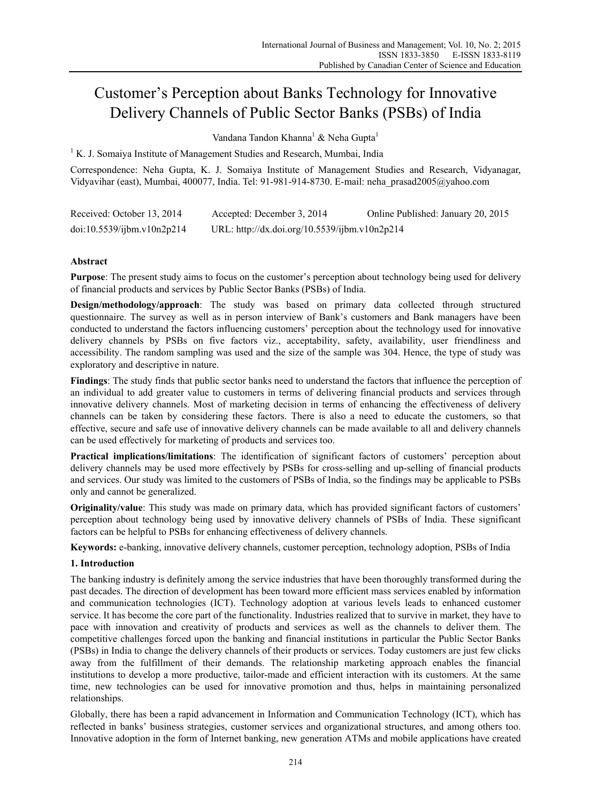# Customer's Perception about Banks Technology for Innovative Delivery Channels of Public Sector Banks (PSBs) of India

Vandana Tandon Khanna<sup>1</sup> & Neha Gupta<sup>1</sup>

<sup>1</sup> K. J. Somaiya Institute of Management Studies and Research, Mumbai, India

Correspondence: Neha Gupta, K. J. Somaiya Institute of Management Studies and Research, Vidyanagar, Vidyavihar (east), Mumbai, 400077, India. Tel: 91-981-914-8730. E-mail: neha\_prasad2005@yahoo.com

| Received: October 13, 2014 | Accepted: December 3, 2014                    | Online Published: January 20, 2015 |
|----------------------------|-----------------------------------------------|------------------------------------|
| doi:10.5539/ijbm.v10n2p214 | URL: http://dx.doi.org/10.5539/ijbm.v10n2p214 |                                    |

# **Abstract**

**Purpose**: The present study aims to focus on the customer's perception about technology being used for delivery of financial products and services by Public Sector Banks (PSBs) of India.

**Design/methodology/approach**: The study was based on primary data collected through structured questionnaire. The survey as well as in person interview of Bank's customers and Bank managers have been conducted to understand the factors influencing customers' perception about the technology used for innovative delivery channels by PSBs on five factors viz., acceptability, safety, availability, user friendliness and accessibility. The random sampling was used and the size of the sample was 304. Hence, the type of study was exploratory and descriptive in nature.

**Findings**: The study finds that public sector banks need to understand the factors that influence the perception of an individual to add greater value to customers in terms of delivering financial products and services through innovative delivery channels. Most of marketing decision in terms of enhancing the effectiveness of delivery channels can be taken by considering these factors. There is also a need to educate the customers, so that effective, secure and safe use of innovative delivery channels can be made available to all and delivery channels can be used effectively for marketing of products and services too.

**Practical implications/limitations**: The identification of significant factors of customers' perception about delivery channels may be used more effectively by PSBs for cross-selling and up-selling of financial products and services. Our study was limited to the customers of PSBs of India, so the findings may be applicable to PSBs only and cannot be generalized.

**Originality/value**: This study was made on primary data, which has provided significant factors of customers' perception about technology being used by innovative delivery channels of PSBs of India. These significant factors can be helpful to PSBs for enhancing effectiveness of delivery channels.

**Keywords:** e-banking, innovative delivery channels, customer perception, technology adoption, PSBs of India

# **1. Introduction**

The banking industry is definitely among the service industries that have been thoroughly transformed during the past decades. The direction of development has been toward more efficient mass services enabled by information and communication technologies (ICT). Technology adoption at various levels leads to enhanced customer service. It has become the core part of the functionality. Industries realized that to survive in market, they have to pace with innovation and creativity of products and services as well as the channels to deliver them. The competitive challenges forced upon the banking and financial institutions in particular the Public Sector Banks (PSBs) in India to change the delivery channels of their products or services. Today customers are just few clicks away from the fulfillment of their demands. The relationship marketing approach enables the financial institutions to develop a more productive, tailor-made and efficient interaction with its customers. At the same time, new technologies can be used for innovative promotion and thus, helps in maintaining personalized relationships.

Globally, there has been a rapid advancement in Information and Communication Technology (ICT), which has reflected in banks' business strategies, customer services and organizational structures, and among others too. Innovative adoption in the form of Internet banking, new generation ATMs and mobile applications have created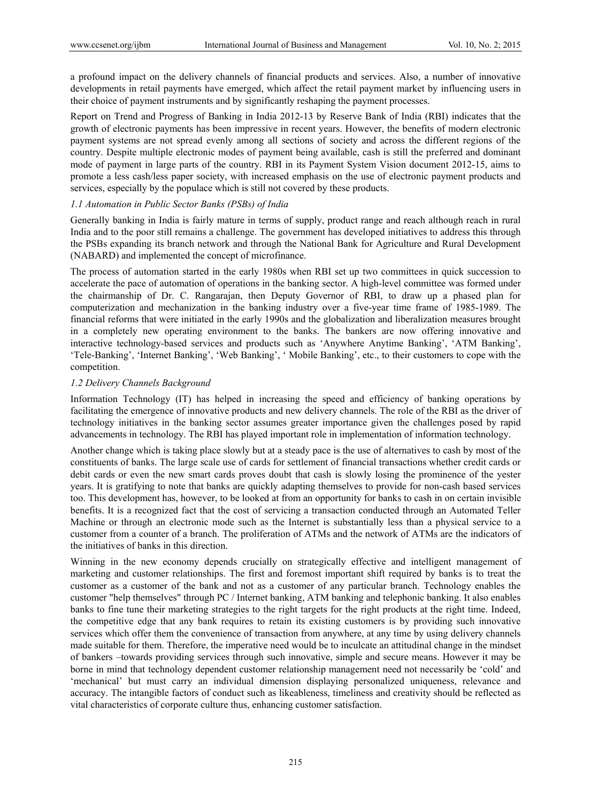a profound impact on the delivery channels of financial products and services. Also, a number of innovative developments in retail payments have emerged, which affect the retail payment market by influencing users in their choice of payment instruments and by significantly reshaping the payment processes.

Report on Trend and Progress of Banking in India 2012-13 by Reserve Bank of India (RBI) indicates that the growth of electronic payments has been impressive in recent years. However, the benefits of modern electronic payment systems are not spread evenly among all sections of society and across the different regions of the country. Despite multiple electronic modes of payment being available, cash is still the preferred and dominant mode of payment in large parts of the country. RBI in its Payment System Vision document 2012-15, aims to promote a less cash/less paper society, with increased emphasis on the use of electronic payment products and services, especially by the populace which is still not covered by these products.

## *1.1 Automation in Public Sector Banks (PSBs) of India*

Generally banking in India is fairly mature in terms of supply, product range and reach although reach in rural India and to the poor still remains a challenge. The government has developed initiatives to address this through the PSBs expanding its branch network and through the National Bank for Agriculture and Rural Development (NABARD) and implemented the concept of microfinance.

The process of automation started in the early 1980s when RBI set up two committees in quick succession to accelerate the pace of automation of operations in the banking sector. A high-level committee was formed under the chairmanship of Dr. C. Rangarajan, then Deputy Governor of RBI, to draw up a phased plan for computerization and mechanization in the banking industry over a five-year time frame of 1985-1989. The financial reforms that were initiated in the early 1990s and the globalization and liberalization measures brought in a completely new operating environment to the banks. The bankers are now offering innovative and interactive technology-based services and products such as 'Anywhere Anytime Banking', 'ATM Banking', 'Tele-Banking', 'Internet Banking', 'Web Banking', ' Mobile Banking', etc., to their customers to cope with the competition.

#### *1.2 Delivery Channels Background*

Information Technology (IT) has helped in increasing the speed and efficiency of banking operations by facilitating the emergence of innovative products and new delivery channels. The role of the RBI as the driver of technology initiatives in the banking sector assumes greater importance given the challenges posed by rapid advancements in technology. The RBI has played important role in implementation of information technology.

Another change which is taking place slowly but at a steady pace is the use of alternatives to cash by most of the constituents of banks. The large scale use of cards for settlement of financial transactions whether credit cards or debit cards or even the new smart cards proves doubt that cash is slowly losing the prominence of the yester years. It is gratifying to note that banks are quickly adapting themselves to provide for non-cash based services too. This development has, however, to be looked at from an opportunity for banks to cash in on certain invisible benefits. It is a recognized fact that the cost of servicing a transaction conducted through an Automated Teller Machine or through an electronic mode such as the Internet is substantially less than a physical service to a customer from a counter of a branch. The proliferation of ATMs and the network of ATMs are the indicators of the initiatives of banks in this direction.

Winning in the new economy depends crucially on strategically effective and intelligent management of marketing and customer relationships. The first and foremost important shift required by banks is to treat the customer as a customer of the bank and not as a customer of any particular branch. Technology enables the customer "help themselves" through PC / Internet banking, ATM banking and telephonic banking. It also enables banks to fine tune their marketing strategies to the right targets for the right products at the right time. Indeed, the competitive edge that any bank requires to retain its existing customers is by providing such innovative services which offer them the convenience of transaction from anywhere, at any time by using delivery channels made suitable for them. Therefore, the imperative need would be to inculcate an attitudinal change in the mindset of bankers –towards providing services through such innovative, simple and secure means. However it may be borne in mind that technology dependent customer relationship management need not necessarily be 'cold' and 'mechanical' but must carry an individual dimension displaying personalized uniqueness, relevance and accuracy. The intangible factors of conduct such as likeableness, timeliness and creativity should be reflected as vital characteristics of corporate culture thus, enhancing customer satisfaction.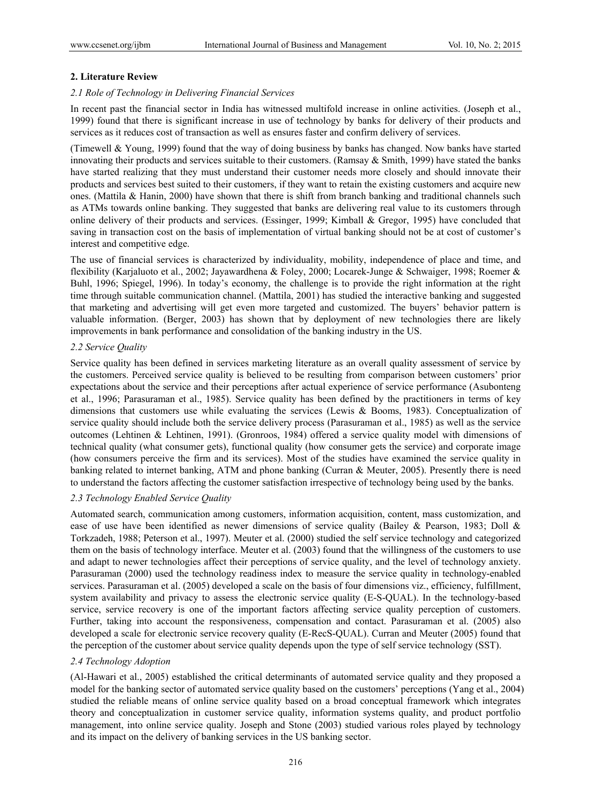## **2. Literature Review**

## *2.1 Role of Technology in Delivering Financial Services*

In recent past the financial sector in India has witnessed multifold increase in online activities. (Joseph et al., 1999) found that there is significant increase in use of technology by banks for delivery of their products and services as it reduces cost of transaction as well as ensures faster and confirm delivery of services.

(Timewell & Young, 1999) found that the way of doing business by banks has changed. Now banks have started innovating their products and services suitable to their customers. (Ramsay  $\&$  Smith, 1999) have stated the banks have started realizing that they must understand their customer needs more closely and should innovate their products and services best suited to their customers, if they want to retain the existing customers and acquire new ones. (Mattila & Hanin, 2000) have shown that there is shift from branch banking and traditional channels such as ATMs towards online banking. They suggested that banks are delivering real value to its customers through online delivery of their products and services. (Essinger, 1999; Kimball & Gregor, 1995) have concluded that saving in transaction cost on the basis of implementation of virtual banking should not be at cost of customer's interest and competitive edge.

The use of financial services is characterized by individuality, mobility, independence of place and time, and flexibility (Karjaluoto et al., 2002; Jayawardhena & Foley, 2000; Locarek-Junge & Schwaiger, 1998; Roemer & Buhl, 1996; Spiegel, 1996). In today's economy, the challenge is to provide the right information at the right time through suitable communication channel. (Mattila, 2001) has studied the interactive banking and suggested that marketing and advertising will get even more targeted and customized. The buyers' behavior pattern is valuable information. (Berger, 2003) has shown that by deployment of new technologies there are likely improvements in bank performance and consolidation of the banking industry in the US.

## *2.2 Service Quality*

Service quality has been defined in services marketing literature as an overall quality assessment of service by the customers. Perceived service quality is believed to be resulting from comparison between customers' prior expectations about the service and their perceptions after actual experience of service performance (Asubonteng et al., 1996; Parasuraman et al., 1985). Service quality has been defined by the practitioners in terms of key dimensions that customers use while evaluating the services (Lewis & Booms, 1983). Conceptualization of service quality should include both the service delivery process (Parasuraman et al., 1985) as well as the service outcomes (Lehtinen & Lehtinen, 1991). (Gronroos, 1984) offered a service quality model with dimensions of technical quality (what consumer gets), functional quality (how consumer gets the service) and corporate image (how consumers perceive the firm and its services). Most of the studies have examined the service quality in banking related to internet banking, ATM and phone banking (Curran & Meuter, 2005). Presently there is need to understand the factors affecting the customer satisfaction irrespective of technology being used by the banks.

# *2.3 Technology Enabled Service Quality*

Automated search, communication among customers, information acquisition, content, mass customization, and ease of use have been identified as newer dimensions of service quality (Bailey & Pearson, 1983; Doll & Torkzadeh, 1988; Peterson et al., 1997). Meuter et al. (2000) studied the self service technology and categorized them on the basis of technology interface. Meuter et al. (2003) found that the willingness of the customers to use and adapt to newer technologies affect their perceptions of service quality, and the level of technology anxiety. Parasuraman (2000) used the technology readiness index to measure the service quality in technology-enabled services. Parasuraman et al. (2005) developed a scale on the basis of four dimensions viz., efficiency, fulfillment, system availability and privacy to assess the electronic service quality (E-S-QUAL). In the technology-based service, service recovery is one of the important factors affecting service quality perception of customers. Further, taking into account the responsiveness, compensation and contact. Parasuraman et al. (2005) also developed a scale for electronic service recovery quality (E-RecS-QUAL). Curran and Meuter (2005) found that the perception of the customer about service quality depends upon the type of self service technology (SST).

# *2.4 Technology Adoption*

(Al-Hawari et al., 2005) established the critical determinants of automated service quality and they proposed a model for the banking sector of automated service quality based on the customers' perceptions (Yang et al., 2004) studied the reliable means of online service quality based on a broad conceptual framework which integrates theory and conceptualization in customer service quality, information systems quality, and product portfolio management, into online service quality. Joseph and Stone (2003) studied various roles played by technology and its impact on the delivery of banking services in the US banking sector.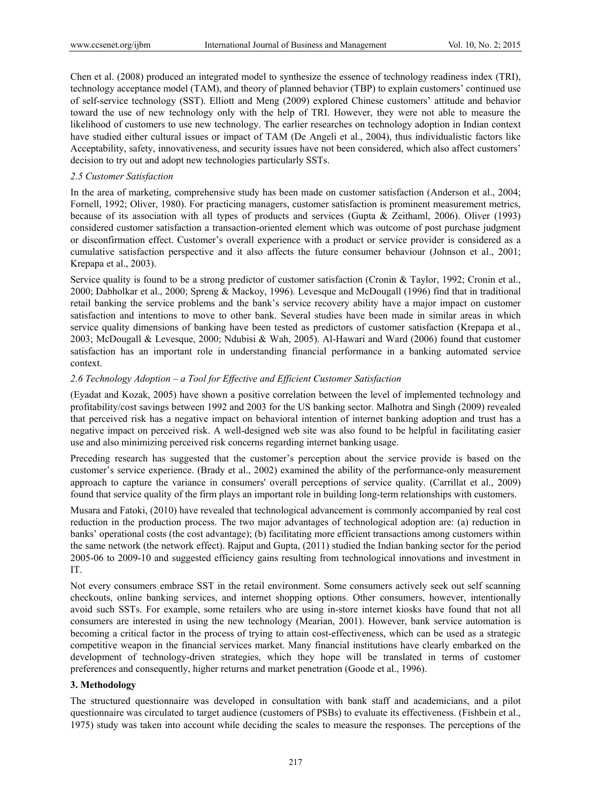Chen et al. (2008) produced an integrated model to synthesize the essence of technology readiness index (TRI), technology acceptance model (TAM), and theory of planned behavior (TBP) to explain customers' continued use of self-service technology (SST). Elliott and Meng (2009) explored Chinese customers' attitude and behavior toward the use of new technology only with the help of TRI. However, they were not able to measure the likelihood of customers to use new technology. The earlier researches on technology adoption in Indian context have studied either cultural issues or impact of TAM (De Angeli et al., 2004), thus individualistic factors like Acceptability, safety, innovativeness, and security issues have not been considered, which also affect customers' decision to try out and adopt new technologies particularly SSTs.

#### *2.5 Customer Satisfaction*

In the area of marketing, comprehensive study has been made on customer satisfaction (Anderson et al., 2004; Fornell, 1992; Oliver, 1980). For practicing managers, customer satisfaction is prominent measurement metrics, because of its association with all types of products and services (Gupta & Zeithaml, 2006). Oliver (1993) considered customer satisfaction a transaction-oriented element which was outcome of post purchase judgment or disconfirmation effect. Customer's overall experience with a product or service provider is considered as a cumulative satisfaction perspective and it also affects the future consumer behaviour (Johnson et al., 2001; Krepapa et al., 2003).

Service quality is found to be a strong predictor of customer satisfaction (Cronin & Taylor, 1992; Cronin et al., 2000; Dabholkar et al., 2000; Spreng & Mackoy, 1996). Levesque and McDougall (1996) find that in traditional retail banking the service problems and the bank's service recovery ability have a major impact on customer satisfaction and intentions to move to other bank. Several studies have been made in similar areas in which service quality dimensions of banking have been tested as predictors of customer satisfaction (Krepapa et al., 2003; McDougall & Levesque, 2000; Ndubisi & Wah, 2005). Al-Hawari and Ward (2006) found that customer satisfaction has an important role in understanding financial performance in a banking automated service context.

#### *2.6 Technology Adoption – a Tool for Effective and Efficient Customer Satisfaction*

(Eyadat and Kozak, 2005) have shown a positive correlation between the level of implemented technology and profitability/cost savings between 1992 and 2003 for the US banking sector. Malhotra and Singh (2009) revealed that perceived risk has a negative impact on behavioral intention of internet banking adoption and trust has a negative impact on perceived risk. A well-designed web site was also found to be helpful in facilitating easier use and also minimizing perceived risk concerns regarding internet banking usage.

Preceding research has suggested that the customer's perception about the service provide is based on the customer's service experience. (Brady et al., 2002) examined the ability of the performance-only measurement approach to capture the variance in consumers' overall perceptions of service quality. (Carrillat et al., 2009) found that service quality of the firm plays an important role in building long-term relationships with customers.

Musara and Fatoki, (2010) have revealed that technological advancement is commonly accompanied by real cost reduction in the production process. The two major advantages of technological adoption are: (a) reduction in banks' operational costs (the cost advantage); (b) facilitating more efficient transactions among customers within the same network (the network effect). Rajput and Gupta, (2011) studied the Indian banking sector for the period 2005-06 to 2009-10 and suggested efficiency gains resulting from technological innovations and investment in IT.

Not every consumers embrace SST in the retail environment. Some consumers actively seek out self scanning checkouts, online banking services, and internet shopping options. Other consumers, however, intentionally avoid such SSTs. For example, some retailers who are using in-store internet kiosks have found that not all consumers are interested in using the new technology (Mearian, 2001). However, bank service automation is becoming a critical factor in the process of trying to attain cost-effectiveness, which can be used as a strategic competitive weapon in the financial services market. Many financial institutions have clearly embarked on the development of technology-driven strategies, which they hope will be translated in terms of customer preferences and consequently, higher returns and market penetration (Goode et al., 1996).

#### **3. Methodology**

The structured questionnaire was developed in consultation with bank staff and academicians, and a pilot questionnaire was circulated to target audience (customers of PSBs) to evaluate its effectiveness. (Fishbein et al., 1975) study was taken into account while deciding the scales to measure the responses. The perceptions of the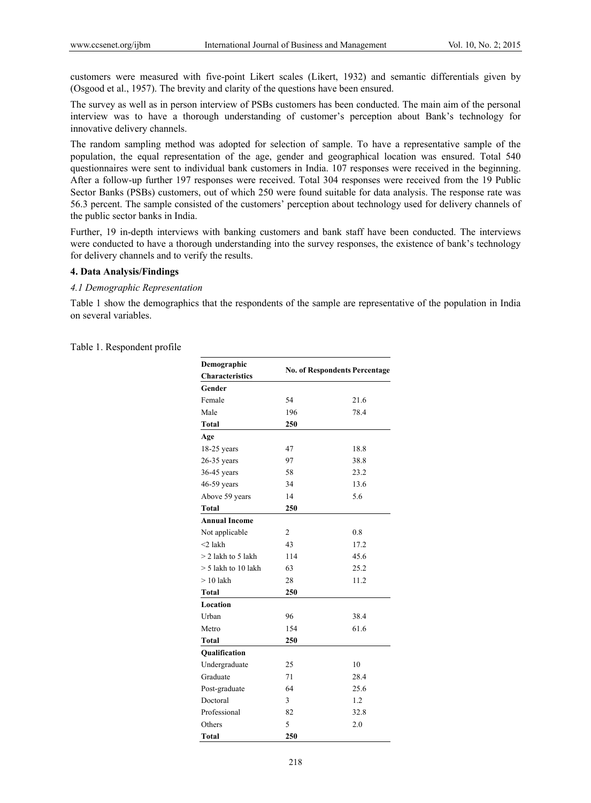customers were measured with five-point Likert scales (Likert, 1932) and semantic differentials given by (Osgood et al., 1957). The brevity and clarity of the questions have been ensured.

The survey as well as in person interview of PSBs customers has been conducted. The main aim of the personal interview was to have a thorough understanding of customer's perception about Bank's technology for innovative delivery channels.

The random sampling method was adopted for selection of sample. To have a representative sample of the population, the equal representation of the age, gender and geographical location was ensured. Total 540 questionnaires were sent to individual bank customers in India. 107 responses were received in the beginning. After a follow-up further 197 responses were received. Total 304 responses were received from the 19 Public Sector Banks (PSBs) customers, out of which 250 were found suitable for data analysis. The response rate was 56.3 percent. The sample consisted of the customers' perception about technology used for delivery channels of the public sector banks in India.

Further, 19 in-depth interviews with banking customers and bank staff have been conducted. The interviews were conducted to have a thorough understanding into the survey responses, the existence of bank's technology for delivery channels and to verify the results.

## **4. Data Analysis/Findings**

### *4.1 Demographic Representation*

Table 1 show the demographics that the respondents of the sample are representative of the population in India on several variables.

Table 1. Respondent profile

| Demographic            |                                      |      |  |  |  |  |  |
|------------------------|--------------------------------------|------|--|--|--|--|--|
| <b>Characteristics</b> | <b>No. of Respondents Percentage</b> |      |  |  |  |  |  |
| Gender                 |                                      |      |  |  |  |  |  |
| Female                 | 54                                   | 21.6 |  |  |  |  |  |
| Male                   | 196                                  | 78.4 |  |  |  |  |  |
| Total                  | 250                                  |      |  |  |  |  |  |
| Age                    |                                      |      |  |  |  |  |  |
| $18-25$ years          | 47                                   | 18.8 |  |  |  |  |  |
| $26-35$ years          | 97                                   | 38.8 |  |  |  |  |  |
| 36-45 years            | 58                                   | 23.2 |  |  |  |  |  |
| 46-59 years            | 34                                   | 13.6 |  |  |  |  |  |
| Above 59 years         | 14                                   | 5.6  |  |  |  |  |  |
| Total                  | 250                                  |      |  |  |  |  |  |
| <b>Annual Income</b>   |                                      |      |  |  |  |  |  |
| Not applicable         | $\overline{2}$                       | 0.8  |  |  |  |  |  |
| $<$ 2 lakh             | 43                                   | 17.2 |  |  |  |  |  |
| $> 2$ lakh to 5 lakh   | 114                                  | 45.6 |  |  |  |  |  |
| $> 5$ lakh to 10 lakh  | 63                                   | 25.2 |  |  |  |  |  |
| $>10$ lakh             | 28                                   | 11.2 |  |  |  |  |  |
| <b>Total</b>           | 250                                  |      |  |  |  |  |  |
| Location               |                                      |      |  |  |  |  |  |
| Urban                  | 96                                   | 38.4 |  |  |  |  |  |
| Metro                  | 154                                  | 61.6 |  |  |  |  |  |
| Total                  | 250                                  |      |  |  |  |  |  |
| Qualification          |                                      |      |  |  |  |  |  |
| Undergraduate          | 25                                   | 10   |  |  |  |  |  |
| Graduate               | 71                                   | 28.4 |  |  |  |  |  |
| Post-graduate          | 64                                   | 25.6 |  |  |  |  |  |
| Doctoral               | 3                                    | 1.2  |  |  |  |  |  |
| Professional           | 82                                   | 32.8 |  |  |  |  |  |
| Others                 | 5                                    | 2.0  |  |  |  |  |  |
| Total                  | 250                                  |      |  |  |  |  |  |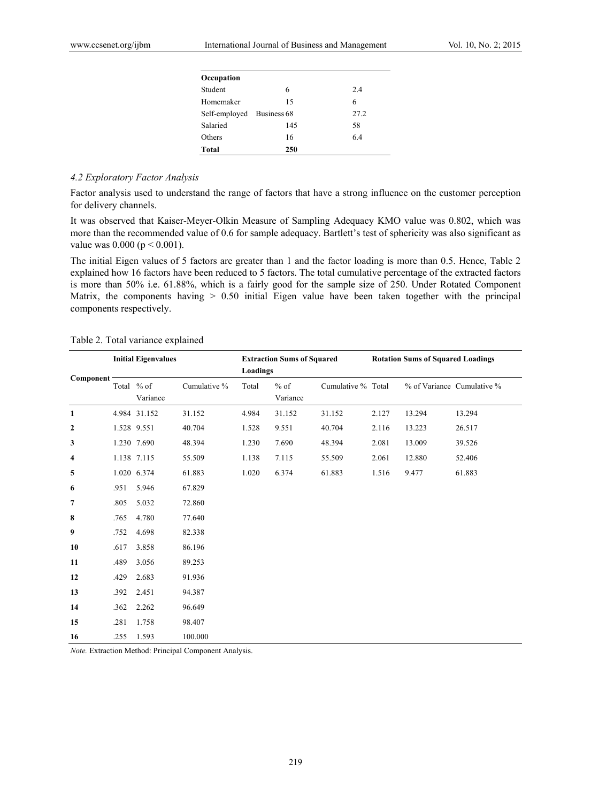| Occupation                |     |      |
|---------------------------|-----|------|
| Student                   | 6   | 2.4  |
| Homemaker                 | 15  | 6    |
| Self-employed Business 68 |     | 27.2 |
| Salaried                  | 145 | 58   |
| Others                    | 16  | 6.4  |
| Total                     | 250 |      |

## *4.2 Exploratory Factor Analysis*

Factor analysis used to understand the range of factors that have a strong influence on the customer perception for delivery channels.

It was observed that Kaiser-Meyer-Olkin Measure of Sampling Adequacy KMO value was 0.802, which was more than the recommended value of 0.6 for sample adequacy. Bartlett's test of sphericity was also significant as value was  $0.000$  ( $p < 0.001$ ).

The initial Eigen values of 5 factors are greater than 1 and the factor loading is more than 0.5. Hence, Table 2 explained how 16 factors have been reduced to 5 factors. The total cumulative percentage of the extracted factors is more than 50% i.e. 61.88%, which is a fairly good for the sample size of 250. Under Rotated Component Matrix, the components having  $> 0.50$  initial Eigen value have been taken together with the principal components respectively.

| Component        |      | <b>Initial Eigenvalues</b> |              | Loadings | <b>Extraction Sums of Squared</b> |                    | <b>Rotation Sums of Squared Loadings</b> |        |                            |  |
|------------------|------|----------------------------|--------------|----------|-----------------------------------|--------------------|------------------------------------------|--------|----------------------------|--|
|                  |      | Total % of<br>Variance     | Cumulative % | Total    | $%$ of<br>Variance                | Cumulative % Total |                                          |        | % of Variance Cumulative % |  |
| $\mathbf{1}$     |      | 4.984 31.152               | 31.152       | 4.984    | 31.152                            | 31.152             | 2.127                                    | 13.294 | 13.294                     |  |
| $\boldsymbol{2}$ |      | 1.528 9.551                | 40.704       | 1.528    | 9.551                             | 40.704             | 2.116                                    | 13.223 | 26.517                     |  |
| $\mathbf{3}$     |      | 1.230 7.690                | 48.394       | 1.230    | 7.690                             | 48.394             | 2.081                                    | 13.009 | 39.526                     |  |
| 4                |      | 1.138 7.115                | 55.509       | 1.138    | 7.115                             | 55.509             | 2.061                                    | 12.880 | 52.406                     |  |
| 5                |      | 1.020 6.374                | 61.883       | 1.020    | 6.374                             | 61.883             | 1.516                                    | 9.477  | 61.883                     |  |
| 6                | .951 | 5.946                      | 67.829       |          |                                   |                    |                                          |        |                            |  |
| 7                | .805 | 5.032                      | 72.860       |          |                                   |                    |                                          |        |                            |  |
| 8                | .765 | 4.780                      | 77.640       |          |                                   |                    |                                          |        |                            |  |
| 9                | .752 | 4.698                      | 82.338       |          |                                   |                    |                                          |        |                            |  |
| 10               | .617 | 3.858                      | 86.196       |          |                                   |                    |                                          |        |                            |  |
| 11               | .489 | 3.056                      | 89.253       |          |                                   |                    |                                          |        |                            |  |
| 12               | .429 | 2.683                      | 91.936       |          |                                   |                    |                                          |        |                            |  |
| 13               | .392 | 2.451                      | 94.387       |          |                                   |                    |                                          |        |                            |  |
| 14               | .362 | 2.262                      | 96.649       |          |                                   |                    |                                          |        |                            |  |
| 15               | .281 | 1.758                      | 98.407       |          |                                   |                    |                                          |        |                            |  |
| 16               | .255 | 1.593                      | 100.000      |          |                                   |                    |                                          |        |                            |  |

Table 2. Total variance explained

*Note.* Extraction Method: Principal Component Analysis.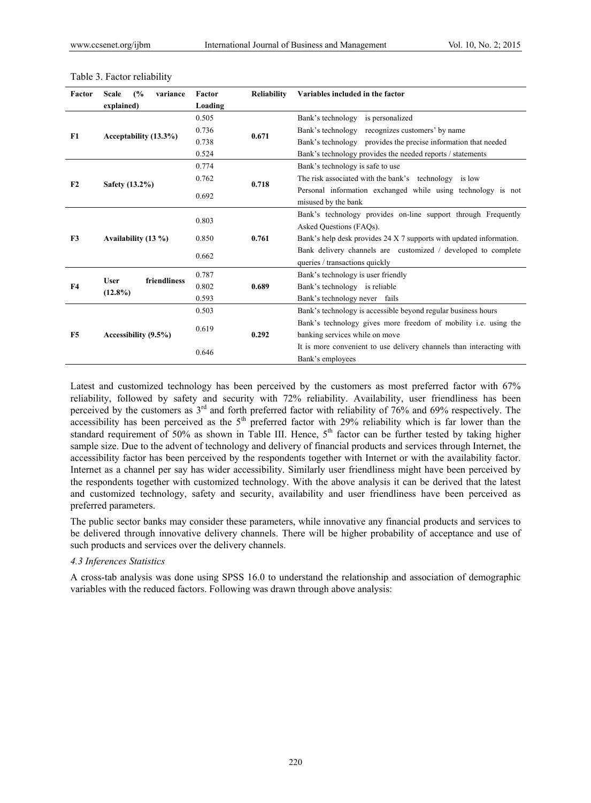| Factor         | (%<br>variance<br><b>Scale</b> | Factor  | <b>Reliability</b>                                            | Variables included in the factor                                       |  |  |  |  |
|----------------|--------------------------------|---------|---------------------------------------------------------------|------------------------------------------------------------------------|--|--|--|--|
|                | explained)                     | Loading |                                                               |                                                                        |  |  |  |  |
|                |                                | 0.505   |                                                               | is personalized<br>Bank's technology                                   |  |  |  |  |
| F1             |                                | 0.736   | 0.671                                                         | Bank's technology<br>recognizes customers' by name                     |  |  |  |  |
|                | Acceptability (13.3%)          | 0.738   |                                                               | Bank's technology provides the precise information that needed         |  |  |  |  |
|                |                                | 0.524   |                                                               | Bank's technology provides the needed reports / statements             |  |  |  |  |
|                |                                | 0.774   |                                                               | Bank's technology is safe to use                                       |  |  |  |  |
|                |                                | 0.762   |                                                               | The risk associated with the bank's technology is low                  |  |  |  |  |
| F2             | Safety (13.2%)                 | 0.692   | 0.718                                                         | Personal information exchanged while using technology is not           |  |  |  |  |
|                |                                |         |                                                               | misused by the bank                                                    |  |  |  |  |
|                |                                | 0.803   |                                                               | Bank's technology provides on-line support through Frequently          |  |  |  |  |
|                |                                |         |                                                               | Asked Ouestions (FAOs).                                                |  |  |  |  |
| F3             | Availability (13 %)            | 0.850   | 0.761                                                         | Bank's help desk provides 24 X 7 supports with updated information.    |  |  |  |  |
|                | 0.662                          |         | Bank delivery channels are customized / developed to complete |                                                                        |  |  |  |  |
|                |                                |         |                                                               | queries / transactions quickly                                         |  |  |  |  |
|                | friendliness<br><b>User</b>    | 0.787   |                                                               | Bank's technology is user friendly                                     |  |  |  |  |
| <b>F4</b>      |                                | 0.802   | 0.689                                                         | Bank's technology is reliable                                          |  |  |  |  |
|                | $(12.8\%)$                     | 0.593   |                                                               | Bank's technology never fails                                          |  |  |  |  |
|                |                                | 0.503   |                                                               | Bank's technology is accessible beyond regular business hours          |  |  |  |  |
| F <sub>5</sub> |                                | 0.619   |                                                               | Bank's technology gives more freedom of mobility <i>i.e.</i> using the |  |  |  |  |
|                | Accessibility (9.5%)           |         | 0.292                                                         | banking services while on move                                         |  |  |  |  |
|                |                                | 0.646   |                                                               | It is more convenient to use delivery channels than interacting with   |  |  |  |  |
|                |                                |         |                                                               | Bank's employees                                                       |  |  |  |  |

#### Table 3. Factor reliability

Latest and customized technology has been perceived by the customers as most preferred factor with 67% reliability, followed by safety and security with 72% reliability. Availability, user friendliness has been perceived by the customers as 3<sup>rd</sup> and forth preferred factor with reliability of 76% and 69% respectively. The accessibility has been perceived as the  $5<sup>th</sup>$  preferred factor with 29% reliability which is far lower than the standard requirement of 50% as shown in Table III. Hence, 5<sup>th</sup> factor can be further tested by taking higher sample size. Due to the advent of technology and delivery of financial products and services through Internet, the accessibility factor has been perceived by the respondents together with Internet or with the availability factor. Internet as a channel per say has wider accessibility. Similarly user friendliness might have been perceived by the respondents together with customized technology. With the above analysis it can be derived that the latest and customized technology, safety and security, availability and user friendliness have been perceived as preferred parameters.

The public sector banks may consider these parameters, while innovative any financial products and services to be delivered through innovative delivery channels. There will be higher probability of acceptance and use of such products and services over the delivery channels.

#### *4.3 Inferences Statistics*

A cross-tab analysis was done using SPSS 16.0 to understand the relationship and association of demographic variables with the reduced factors. Following was drawn through above analysis: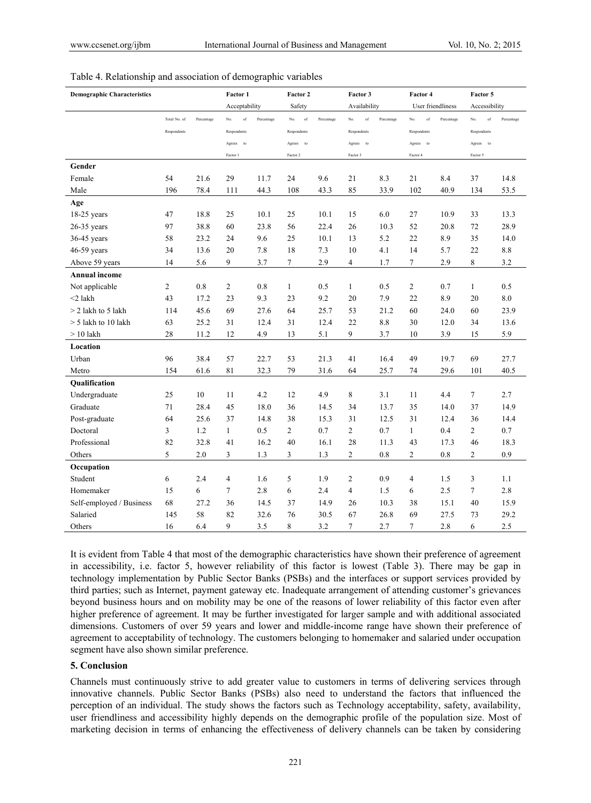| <b>Demographic Characteristics</b> |                |            | Factor 1                              |      | Factor 2                |            | Factor 3                              |              | Factor 4                |                   | Factor 5       |               |  |
|------------------------------------|----------------|------------|---------------------------------------|------|-------------------------|------------|---------------------------------------|--------------|-------------------------|-------------------|----------------|---------------|--|
|                                    |                |            | Acceptability                         |      | Safety                  |            |                                       | Availability |                         | User friendliness |                | Accessibility |  |
|                                    | Total No. of   | Percentage | No.<br>$_{\mathrm{of}}$<br>Percentage |      | No.<br>$_{\mathrm{of}}$ | Percentage | No.<br>$_{\mathrm{of}}$<br>Percentage |              | No.<br>$_{\mathrm{of}}$ | Percentage        | No.<br>of      | Percentage    |  |
|                                    | Respondents    |            | Respondents                           |      | Respondents             |            | Respondents                           |              | Respondents             |                   | Respondents    |               |  |
|                                    |                |            | to<br>Agrees                          |      | to<br>Agrees            |            | Agrees to                             |              | Agrees to               |                   | Agrees to      |               |  |
|                                    |                |            | Factor 1                              |      | Factor 2                |            | Factor 3                              |              | Factor 4                |                   | Factor 5       |               |  |
| Gender                             |                |            |                                       |      |                         |            |                                       |              |                         |                   |                |               |  |
| Female                             | 54             | 21.6       | 29                                    | 11.7 | 24                      | 9.6        | 21                                    | 8.3          | 21                      | 8.4               | 37             | 14.8          |  |
| Male                               | 196            | 78.4       | 111                                   | 44.3 | 108                     | 43.3       | 85                                    | 33.9         | 102                     | 40.9              | 134            | 53.5          |  |
| Age                                |                |            |                                       |      |                         |            |                                       |              |                         |                   |                |               |  |
| $18-25$ years                      | 47             | 18.8       | 25                                    | 10.1 | 25                      | 10.1       | 15                                    | 6.0          | 27                      | 10.9              | 33             | 13.3          |  |
| 26-35 years                        | 97             | 38.8       | 60                                    | 23.8 | 56                      | 22.4       | 26                                    | 10.3         | 52                      | 20.8              | 72             | 28.9          |  |
| 36-45 years                        | 58             | 23.2       | 24                                    | 9.6  | 25                      | 10.1       | 13                                    | 5.2          | 22                      | 8.9               | 35             | 14.0          |  |
| 46-59 years                        | 34             | 13.6       | 20                                    | 7.8  | 18                      | 7.3        | 10                                    | 4.1          | 14                      | 5.7               | 22             | 8.8           |  |
| Above 59 years                     | 14             | 5.6        | 9                                     | 3.7  | $\tau$                  | 2.9        | 4                                     | 1.7          | 7                       | 2.9               | 8              | 3.2           |  |
| <b>Annual income</b>               |                |            |                                       |      |                         |            |                                       |              |                         |                   |                |               |  |
| Not applicable                     | $\overline{c}$ | 0.8        | $\overline{c}$                        | 0.8  | $\mathbf{1}$            | 0.5        | $\mathbf{1}$                          | 0.5          | 2                       | 0.7               | 1              | 0.5           |  |
| $<$ 2 lakh                         | 43             | 17.2       | 23                                    | 9.3  | 23                      | 9.2        | 20                                    | 7.9          | 22                      | 8.9               | 20             | 8.0           |  |
| $>$ 2 lakh to 5 lakh               | 114            | 45.6       | 69                                    | 27.6 | 64                      | 25.7       | 53                                    | 21.2         | 60                      | 24.0              | 60             | 23.9          |  |
| $>$ 5 lakh to 10 lakh              | 63             | 25.2       | 31                                    | 12.4 | 31                      | 12.4       | 22                                    | 8.8          | 30                      | 12.0              | 34             | 13.6          |  |
| $>10$ lakh                         | 28             | 11.2       | 12                                    | 4.9  | 13                      | 5.1        | 9                                     | 3.7          | 10                      | 3.9               | 15             | 5.9           |  |
| Location                           |                |            |                                       |      |                         |            |                                       |              |                         |                   |                |               |  |
| Urban                              | 96             | 38.4       | 57                                    | 22.7 | 53                      | 21.3       | 41                                    | 16.4         | 49                      | 19.7              | 69             | 27.7          |  |
| Metro                              | 154            | 61.6       | 81                                    | 32.3 | 79                      | 31.6       | 64                                    | 25.7         | 74                      | 29.6              | 101            | 40.5          |  |
| Qualification                      |                |            |                                       |      |                         |            |                                       |              |                         |                   |                |               |  |
| Undergraduate                      | 25             | 10         | 11                                    | 4.2  | 12                      | 4.9        | 8                                     | 3.1          | 11                      | 4.4               | 7              | 2.7           |  |
| Graduate                           | 71             | 28.4       | 45                                    | 18.0 | 36                      | 14.5       | 34                                    | 13.7         | 35                      | 14.0              | 37             | 14.9          |  |
| Post-graduate                      | 64             | 25.6       | 37                                    | 14.8 | 38                      | 15.3       | 31                                    | 12.5         | 31                      | 12.4              | 36             | 14.4          |  |
| Doctoral                           | 3              | 1.2        | $\mathbf{1}$                          | 0.5  | $\overline{2}$          | 0.7        | $\overline{c}$                        | 0.7          | $\mathbf{1}$            | 0.4               | $\overline{c}$ | 0.7           |  |
| Professional                       | 82             | 32.8       | 41                                    | 16.2 | 40                      | 16.1       | 28                                    | 11.3         | 43                      | 17.3              | 46             | 18.3          |  |
| Others                             | 5              | 2.0        | 3                                     | 1.3  | 3                       | 1.3        | $\overline{c}$                        | 0.8          | $\overline{c}$          | 0.8               | $\overline{c}$ | 0.9           |  |
| Occupation                         |                |            |                                       |      |                         |            |                                       |              |                         |                   |                |               |  |
| Student                            | 6              | 2.4        | 4                                     | 1.6  | 5                       | 1.9        | $\overline{c}$                        | 0.9          | 4                       | 1.5               | 3              | 1.1           |  |
| Homemaker                          | 15             | 6          | $\tau$                                | 2.8  | 6                       | 2.4        | $\overline{4}$                        | 1.5          | 6                       | 2.5               | $\overline{7}$ | 2.8           |  |
| Self-employed / Business           | 68             | 27.2       | 36                                    | 14.5 | 37                      | 14.9       | 26                                    | 10.3         | 38                      | 15.1              | 40             | 15.9          |  |
| Salaried                           | 145            | 58         | 82                                    | 32.6 | 76                      | 30.5       | 67                                    | 26.8         | 69                      | 27.5              | 73             | 29.2          |  |
| Others                             | 16             | 6.4        | 9                                     | 3.5  | 8                       | 3.2        | $\overline{7}$                        | 2.7          | $\overline{7}$          | 2.8               | 6              | 2.5           |  |

#### Table 4. Relationship and association of demographic variables

It is evident from Table 4 that most of the demographic characteristics have shown their preference of agreement in accessibility, i.e. factor 5, however reliability of this factor is lowest (Table 3). There may be gap in technology implementation by Public Sector Banks (PSBs) and the interfaces or support services provided by third parties; such as Internet, payment gateway etc. Inadequate arrangement of attending customer's grievances beyond business hours and on mobility may be one of the reasons of lower reliability of this factor even after higher preference of agreement. It may be further investigated for larger sample and with additional associated dimensions. Customers of over 59 years and lower and middle-income range have shown their preference of agreement to acceptability of technology. The customers belonging to homemaker and salaried under occupation segment have also shown similar preference.

#### **5. Conclusion**

Channels must continuously strive to add greater value to customers in terms of delivering services through innovative channels. Public Sector Banks (PSBs) also need to understand the factors that influenced the perception of an individual. The study shows the factors such as Technology acceptability, safety, availability, user friendliness and accessibility highly depends on the demographic profile of the population size. Most of marketing decision in terms of enhancing the effectiveness of delivery channels can be taken by considering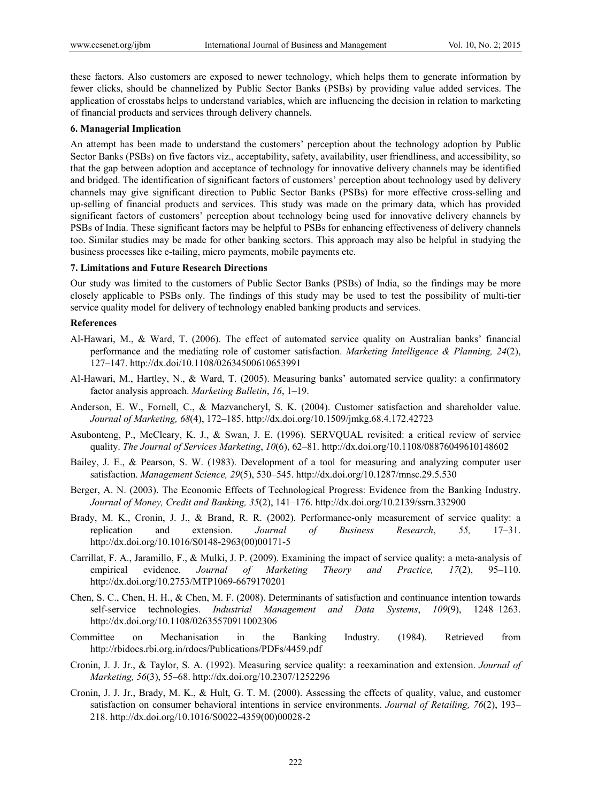these factors. Also customers are exposed to newer technology, which helps them to generate information by fewer clicks, should be channelized by Public Sector Banks (PSBs) by providing value added services. The application of crosstabs helps to understand variables, which are influencing the decision in relation to marketing of financial products and services through delivery channels.

#### **6. Managerial Implication**

An attempt has been made to understand the customers' perception about the technology adoption by Public Sector Banks (PSBs) on five factors viz., acceptability, safety, availability, user friendliness, and accessibility, so that the gap between adoption and acceptance of technology for innovative delivery channels may be identified and bridged. The identification of significant factors of customers' perception about technology used by delivery channels may give significant direction to Public Sector Banks (PSBs) for more effective cross-selling and up-selling of financial products and services. This study was made on the primary data, which has provided significant factors of customers' perception about technology being used for innovative delivery channels by PSBs of India. These significant factors may be helpful to PSBs for enhancing effectiveness of delivery channels too. Similar studies may be made for other banking sectors. This approach may also be helpful in studying the business processes like e-tailing, micro payments, mobile payments etc.

## **7. Limitations and Future Research Directions**

Our study was limited to the customers of Public Sector Banks (PSBs) of India, so the findings may be more closely applicable to PSBs only. The findings of this study may be used to test the possibility of multi-tier service quality model for delivery of technology enabled banking products and services.

#### **References**

- Al-Hawari, M., & Ward, T. (2006). The effect of automated service quality on Australian banks' financial performance and the mediating role of customer satisfaction. *Marketing Intelligence & Planning, 24*(2), 127–147. http://dx.doi/10.1108/02634500610653991
- Al-Hawari, M., Hartley, N., & Ward, T. (2005). Measuring banks' automated service quality: a confirmatory factor analysis approach. *Marketing Bulletin*, *16*, 1–19.
- Anderson, E. W., Fornell, C., & Mazvancheryl, S. K. (2004). Customer satisfaction and shareholder value. *Journal of Marketing, 68*(4), 172–185. http://dx.doi.org/10.1509/jmkg.68.4.172.42723
- Asubonteng, P., McCleary, K. J., & Swan, J. E. (1996). SERVQUAL revisited: a critical review of service quality. *The Journal of Services Marketing*, *10*(6), 62–81. http://dx.doi.org/10.1108/08876049610148602
- Bailey, J. E., & Pearson, S. W. (1983). Development of a tool for measuring and analyzing computer user satisfaction. *Management Science, 29*(5), 530–545. http://dx.doi.org/10.1287/mnsc.29.5.530
- Berger, A. N. (2003). The Economic Effects of Technological Progress: Evidence from the Banking Industry. *Journal of Money, Credit and Banking, 35*(2), 141–176. http://dx.doi.org/10.2139/ssrn.332900
- Brady, M. K., Cronin, J. J., & Brand, R. R. (2002). Performance-only measurement of service quality: a replication and extension. *Journal of Business Research*, *55,* 17–31. http://dx.doi.org/10.1016/S0148-2963(00)00171-5
- Carrillat, F. A., Jaramillo, F., & Mulki, J. P. (2009). Examining the impact of service quality: a meta-analysis of empirical evidence. *Journal of Marketing Theory and Practice, 17*(2), 95–110. http://dx.doi.org/10.2753/MTP1069-6679170201
- Chen, S. C., Chen, H. H., & Chen, M. F. (2008). Determinants of satisfaction and continuance intention towards self-service technologies. *Industrial Management and Data Systems*, *109*(9), 1248–1263. http://dx.doi.org/10.1108/02635570911002306
- Committee on Mechanisation in the Banking Industry. (1984). Retrieved from http://rbidocs.rbi.org.in/rdocs/Publications/PDFs/4459.pdf
- Cronin, J. J. Jr., & Taylor, S. A. (1992). Measuring service quality: a reexamination and extension. *Journal of Marketing, 56*(3), 55–68. http://dx.doi.org/10.2307/1252296
- Cronin, J. J. Jr., Brady, M. K., & Hult, G. T. M. (2000). Assessing the effects of quality, value, and customer satisfaction on consumer behavioral intentions in service environments. *Journal of Retailing, 76*(2), 193– 218. http://dx.doi.org/10.1016/S0022-4359(00)00028-2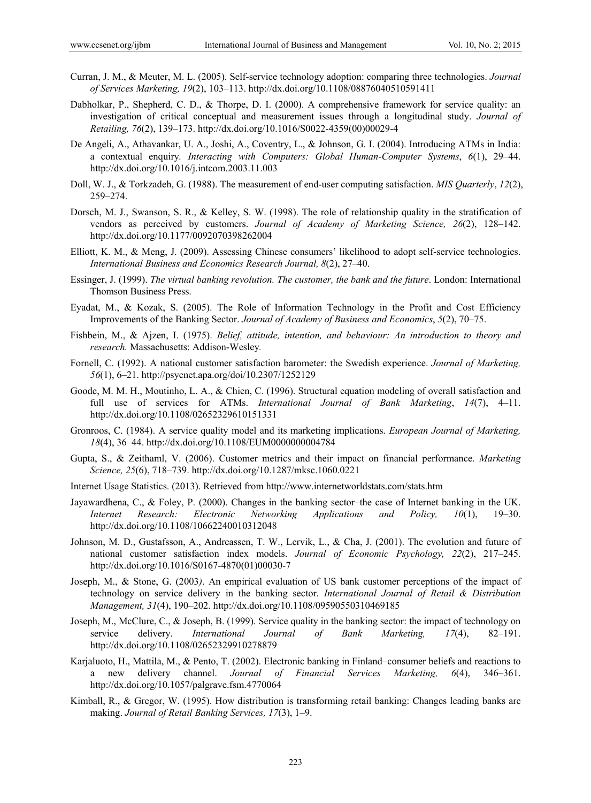- Curran, J. M., & Meuter, M. L. (2005). Self-service technology adoption: comparing three technologies. *Journal of Services Marketing, 19*(2), 103–113. http://dx.doi.org/10.1108/08876040510591411
- Dabholkar, P., Shepherd, C. D., & Thorpe, D. I. (2000). A comprehensive framework for service quality: an investigation of critical conceptual and measurement issues through a longitudinal study. *Journal of Retailing, 76*(2), 139–173. http://dx.doi.org/10.1016/S0022-4359(00)00029-4
- De Angeli, A., Athavankar, U. A., Joshi, A., Coventry, L., & Johnson, G. I. (2004). Introducing ATMs in India: a contextual enquiry*. Interacting with Computers: Global Human-Computer Systems*, *6*(1), 29–44. http://dx.doi.org/10.1016/j.intcom.2003.11.003
- Doll, W. J., & Torkzadeh, G. (1988). The measurement of end-user computing satisfaction. *MIS Quarterly*, *12*(2), 259–274.
- Dorsch, M. J., Swanson, S. R., & Kelley, S. W. (1998). The role of relationship quality in the stratification of vendors as perceived by customers. *Journal of Academy of Marketing Science, 26*(2), 128–142. http://dx.doi.org/10.1177/0092070398262004
- Elliott, K. M., & Meng, J. (2009). Assessing Chinese consumers' likelihood to adopt self-service technologies. *International Business and Economics Research Journal, 8*(2), 27–40.
- Essinger, J. (1999). *The virtual banking revolution. The customer, the bank and the future*. London: International Thomson Business Press.
- Eyadat, M., & Kozak, S. (2005). The Role of Information Technology in the Profit and Cost Efficiency Improvements of the Banking Sector. *Journal of Academy of Business and Economics*, *5*(2), 70–75.
- Fishbein, M., & Ajzen, I. (1975). *Belief, attitude, intention, and behaviour: An introduction to theory and research.* Massachusetts: Addison-Wesley*.*
- Fornell, C. (1992). A national customer satisfaction barometer: the Swedish experience. *Journal of Marketing, 56*(1), 6–21. http://psycnet.apa.org/doi/10.2307/1252129
- Goode, M. M. H., Moutinho, L. A., & Chien, C. (1996). Structural equation modeling of overall satisfaction and full use of services for ATMs. *International Journal of Bank Marketing*, *14*(7), 4–11. http://dx.doi.org/10.1108/02652329610151331
- Gronroos, C. (1984). A service quality model and its marketing implications. *European Journal of Marketing, 18*(4), 36–44. http://dx.doi.org/10.1108/EUM0000000004784
- Gupta, S., & Zeithaml, V. (2006). Customer metrics and their impact on financial performance. *Marketing Science, 25*(6), 718–739. http://dx.doi.org/10.1287/mksc.1060.0221
- Internet Usage Statistics. (2013). Retrieved from http://www.internetworldstats.com/stats.htm
- Jayawardhena, C., & Foley, P. (2000). Changes in the banking sector–the case of Internet banking in the UK. *Internet Research: Electronic Networking Applications and Policy, 10*(1), 19–30. http://dx.doi.org/10.1108/10662240010312048
- Johnson, M. D., Gustafsson, A., Andreassen, T. W., Lervik, L., & Cha, J. (2001). The evolution and future of national customer satisfaction index models. *Journal of Economic Psychology, 22*(2), 217–245. http://dx.doi.org/10.1016/S0167-4870(01)00030-7
- Joseph, M., & Stone, G. (2003*)*. An empirical evaluation of US bank customer perceptions of the impact of technology on service delivery in the banking sector. *International Journal of Retail & Distribution Management, 31*(4), 190–202. http://dx.doi.org/10.1108/09590550310469185
- Joseph, M., McClure, C., & Joseph, B. (1999). Service quality in the banking sector: the impact of technology on service delivery. *International Journal of Bank Marketing, 17*(4), 82–191. http://dx.doi.org/10.1108/02652329910278879
- Karjaluoto, H., Mattila, M., & Pento, T. (2002). Electronic banking in Finland–consumer beliefs and reactions to a new delivery channel. *Journal of Financial Services Marketing, 6*(4), 346–361. http://dx.doi.org/10.1057/palgrave.fsm.4770064
- Kimball, R., & Gregor, W. (1995). How distribution is transforming retail banking: Changes leading banks are making. *Journal of Retail Banking Services, 17*(3), 1–9.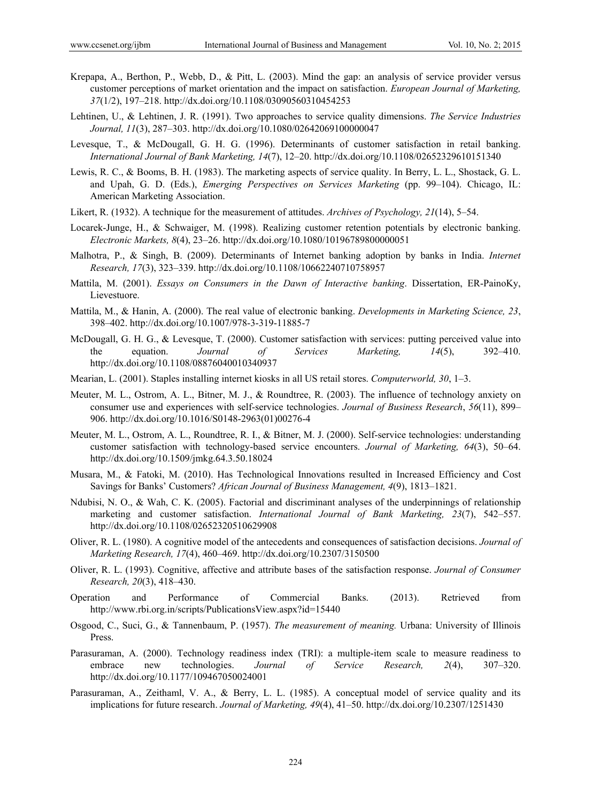- Krepapa, A., Berthon, P., Webb, D., & Pitt, L. (2003). Mind the gap: an analysis of service provider versus customer perceptions of market orientation and the impact on satisfaction. *European Journal of Marketing, 37*(1/2), 197–218. http://dx.doi.org/10.1108/03090560310454253
- Lehtinen, U., & Lehtinen, J. R. (1991). Two approaches to service quality dimensions. *The Service Industries Journal, 11*(3), 287–303. http://dx.doi.org/10.1080/02642069100000047
- Levesque, T., & McDougall, G. H. G. (1996). Determinants of customer satisfaction in retail banking. *International Journal of Bank Marketing, 14*(7), 12–20. http://dx.doi.org/10.1108/02652329610151340
- Lewis, R. C., & Booms, B. H. (1983). The marketing aspects of service quality. In Berry, L. L., Shostack, G. L. and Upah, G. D. (Eds.), *Emerging Perspectives on Services Marketing* (pp. 99–104). Chicago, IL: American Marketing Association.
- Likert, R. (1932). A technique for the measurement of attitudes. *Archives of Psychology, 21*(14), 5–54.
- Locarek-Junge, H., & Schwaiger, M. (1998). Realizing customer retention potentials by electronic banking. *Electronic Markets, 8*(4), 23–26. http://dx.doi.org/10.1080/10196789800000051
- Malhotra, P., & Singh, B. (2009). Determinants of Internet banking adoption by banks in India. *Internet Research, 17*(3), 323–339. http://dx.doi.org/10.1108/10662240710758957
- Mattila, M. (2001). *Essays on Consumers in the Dawn of Interactive banking*. Dissertation, ER-PainoKy, Lievestuore.
- Mattila, M., & Hanin, A. (2000). The real value of electronic banking. *Developments in Marketing Science, 23*, 398–402. http://dx.doi.org/10.1007/978-3-319-11885-7
- McDougall, G. H. G., & Levesque, T. (2000). Customer satisfaction with services: putting perceived value into the equation. *Journal of Services Marketing, 14*(5), 392–410. http://dx.doi.org/10.1108/08876040010340937
- Mearian, L. (2001). Staples installing internet kiosks in all US retail stores. *Computerworld, 30*, 1–3.
- Meuter, M. L., Ostrom, A. L., Bitner, M. J., & Roundtree, R. (2003). The influence of technology anxiety on consumer use and experiences with self-service technologies. *Journal of Business Research*, *56*(11), 899– 906. http://dx.doi.org/10.1016/S0148-2963(01)00276-4
- Meuter, M. L., Ostrom, A. L., Roundtree, R. I., & Bitner, M. J. (2000). Self-service technologies: understanding customer satisfaction with technology-based service encounters. *Journal of Marketing, 64*(3), 50–64. http://dx.doi.org/10.1509/jmkg.64.3.50.18024
- Musara, M., & Fatoki, M. (2010). Has Technological Innovations resulted in Increased Efficiency and Cost Savings for Banks' Customers? *African Journal of Business Management, 4*(9), 1813–1821.
- Ndubisi, N. O., & Wah, C. K. (2005). Factorial and discriminant analyses of the underpinnings of relationship marketing and customer satisfaction. *International Journal of Bank Marketing, 23*(7), 542–557. http://dx.doi.org/10.1108/02652320510629908
- Oliver, R. L. (1980). A cognitive model of the antecedents and consequences of satisfaction decisions. *Journal of Marketing Research, 17*(4), 460–469. http://dx.doi.org/10.2307/3150500
- Oliver, R. L. (1993). Cognitive, affective and attribute bases of the satisfaction response. *Journal of Consumer Research, 20*(3), 418–430.
- Operation and Performance of Commercial Banks. (2013). Retrieved from http://www.rbi.org.in/scripts/PublicationsView.aspx?id=15440
- Osgood, C., Suci, G., & Tannenbaum, P. (1957). *The measurement of meaning.* Urbana: University of Illinois Press.
- Parasuraman, A. (2000). Technology readiness index (TRI): a multiple-item scale to measure readiness to embrace new technologies. *Journal of Service Research, 2*(4), 307–320. http://dx.doi.org/10.1177/109467050024001
- Parasuraman, A., Zeithaml, V. A., & Berry, L. L. (1985). A conceptual model of service quality and its implications for future research. *Journal of Marketing, 49*(4), 41–50. http://dx.doi.org/10.2307/1251430